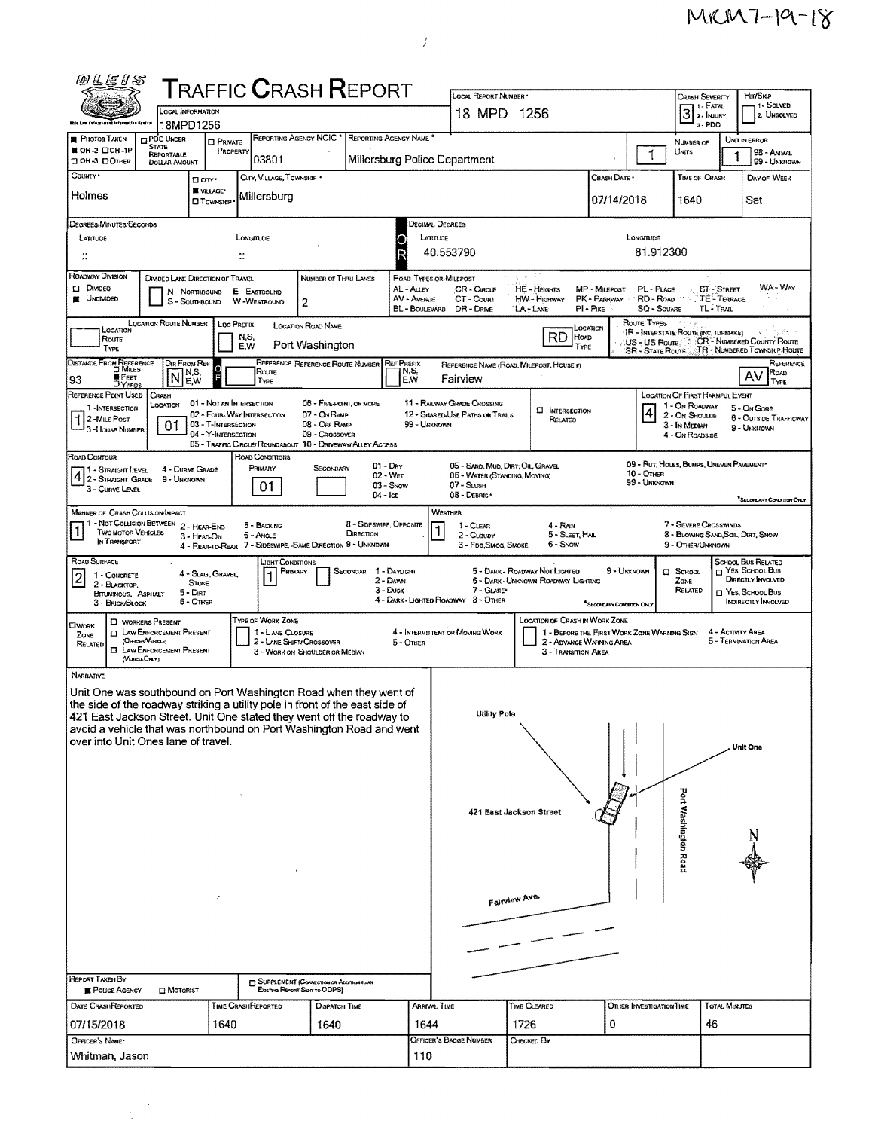$MKM7-19-18$ 

| <b>T</b> RAFFIC <b>C</b> RASH <b>R</b> EPORT<br>LOCAL REPORT NUMBER *<br>Hm/Skip<br><b>CRASH SEVERITY</b><br>- 1 - Solved<br>11 - Fatal<br>LOCAL INFORMATION<br>$3$ $\frac{1}{2}$ - INJURY<br>18 MPD 1256<br>2. UNSOLVED<br>18MPD1256<br>a - PDO<br>ithis Low Enforcement Information Grains<br>REPORTING AGENCY NCIC <sup>*</sup> REPORTING AGENCY NAME <sup>*</sup><br><b>PHOTOS TAKEN</b><br>PDO UNDER<br>UNIT IN ERROR<br><b>D</b> PRIVATE<br>NUMBER OF<br><b>STATE</b><br>■ OH-2 口OH-1P<br>PROPERTY<br>UNITS<br>98 - ANIMAL<br>$\mathbf{1}$<br>REPORTABLE<br>03801<br>Millersburg Police Department<br><b>CIOH-3 CIOTHER</b><br>99 - UNKNOWN<br><b>DOLLAR AMOUNT</b><br>COUNTY*<br>CITY, VILLAGE, TOWNSHIP .<br>Crash Date *<br>TIME OF CRASH<br>DAY OF WEEK<br>□ an ·<br>WILLAGE*<br>Holmes<br>Millersburg<br>07/14/2018<br>1640<br>Sat<br><b>O</b> TOWNSHIP<br>DECIMAL DEGREES<br>Degrees/Minutes/Seconds<br>LONGITUDE<br>LATITUDE<br>LONGITUDE<br>LATITUDE<br>O<br>81.912300<br>R<br>40.553790<br>$\ddot{\phantom{a}}$<br>$\ddot{\phantom{a}}$<br>ROADWAY DIMSION<br>소 아이<br>DIVIDED LANE DIRECTION OF TRAVEL<br><b>NUMBER OF THRU LANES</b><br>ROAD TYPES OR MILEPOST<br>WA-WAY<br><b>CI DIMDEO</b><br><b>HE-HEIGHTS</b><br>AL - Auey<br>CR - CIRCLE<br>MP - MILEPOST<br>PL - PLACE<br><b>ST - STREET</b><br>E - EASTBOUND<br>N - Northbourd<br><b>E</b> UNDIVIDED<br>AV - AVENUE<br>CT-Count<br>HW - Higeway<br>PK - PARKWAY<br>RD-ROAD<br>TE-TERRACE<br>2<br>S - SOUTHBOUND<br>W-WESTBOUND<br>$PI - P_{IKE}$<br>SQ - SOUARE<br>TL TRAIL<br>BL - Boulevard<br>DR - DRIVE<br>LA-LANE<br>Route TYPES<br><b>LOCATION ROUTE NUMBER</b><br>LOC PREFIX<br><b>LOCATION ROAD NAME</b><br>LOCATION<br>Location<br>IR - INTERSTATE ROUTE (INC. TURNPIKE)<br>RD<br>ROAD<br>N,S,<br>Route<br>US - US Route CR - Number County Route |
|-----------------------------------------------------------------------------------------------------------------------------------------------------------------------------------------------------------------------------------------------------------------------------------------------------------------------------------------------------------------------------------------------------------------------------------------------------------------------------------------------------------------------------------------------------------------------------------------------------------------------------------------------------------------------------------------------------------------------------------------------------------------------------------------------------------------------------------------------------------------------------------------------------------------------------------------------------------------------------------------------------------------------------------------------------------------------------------------------------------------------------------------------------------------------------------------------------------------------------------------------------------------------------------------------------------------------------------------------------------------------------------------------------------------------------------------------------------------------------------------------------------------------------------------------------------------------------------------------------------------------------------------------------------------------------------------------------------------------------------------------------------------------------------------------------------------------------------|
|                                                                                                                                                                                                                                                                                                                                                                                                                                                                                                                                                                                                                                                                                                                                                                                                                                                                                                                                                                                                                                                                                                                                                                                                                                                                                                                                                                                                                                                                                                                                                                                                                                                                                                                                                                                                                                   |
|                                                                                                                                                                                                                                                                                                                                                                                                                                                                                                                                                                                                                                                                                                                                                                                                                                                                                                                                                                                                                                                                                                                                                                                                                                                                                                                                                                                                                                                                                                                                                                                                                                                                                                                                                                                                                                   |
|                                                                                                                                                                                                                                                                                                                                                                                                                                                                                                                                                                                                                                                                                                                                                                                                                                                                                                                                                                                                                                                                                                                                                                                                                                                                                                                                                                                                                                                                                                                                                                                                                                                                                                                                                                                                                                   |
|                                                                                                                                                                                                                                                                                                                                                                                                                                                                                                                                                                                                                                                                                                                                                                                                                                                                                                                                                                                                                                                                                                                                                                                                                                                                                                                                                                                                                                                                                                                                                                                                                                                                                                                                                                                                                                   |
|                                                                                                                                                                                                                                                                                                                                                                                                                                                                                                                                                                                                                                                                                                                                                                                                                                                                                                                                                                                                                                                                                                                                                                                                                                                                                                                                                                                                                                                                                                                                                                                                                                                                                                                                                                                                                                   |
|                                                                                                                                                                                                                                                                                                                                                                                                                                                                                                                                                                                                                                                                                                                                                                                                                                                                                                                                                                                                                                                                                                                                                                                                                                                                                                                                                                                                                                                                                                                                                                                                                                                                                                                                                                                                                                   |
|                                                                                                                                                                                                                                                                                                                                                                                                                                                                                                                                                                                                                                                                                                                                                                                                                                                                                                                                                                                                                                                                                                                                                                                                                                                                                                                                                                                                                                                                                                                                                                                                                                                                                                                                                                                                                                   |
|                                                                                                                                                                                                                                                                                                                                                                                                                                                                                                                                                                                                                                                                                                                                                                                                                                                                                                                                                                                                                                                                                                                                                                                                                                                                                                                                                                                                                                                                                                                                                                                                                                                                                                                                                                                                                                   |
|                                                                                                                                                                                                                                                                                                                                                                                                                                                                                                                                                                                                                                                                                                                                                                                                                                                                                                                                                                                                                                                                                                                                                                                                                                                                                                                                                                                                                                                                                                                                                                                                                                                                                                                                                                                                                                   |
|                                                                                                                                                                                                                                                                                                                                                                                                                                                                                                                                                                                                                                                                                                                                                                                                                                                                                                                                                                                                                                                                                                                                                                                                                                                                                                                                                                                                                                                                                                                                                                                                                                                                                                                                                                                                                                   |
|                                                                                                                                                                                                                                                                                                                                                                                                                                                                                                                                                                                                                                                                                                                                                                                                                                                                                                                                                                                                                                                                                                                                                                                                                                                                                                                                                                                                                                                                                                                                                                                                                                                                                                                                                                                                                                   |
|                                                                                                                                                                                                                                                                                                                                                                                                                                                                                                                                                                                                                                                                                                                                                                                                                                                                                                                                                                                                                                                                                                                                                                                                                                                                                                                                                                                                                                                                                                                                                                                                                                                                                                                                                                                                                                   |
|                                                                                                                                                                                                                                                                                                                                                                                                                                                                                                                                                                                                                                                                                                                                                                                                                                                                                                                                                                                                                                                                                                                                                                                                                                                                                                                                                                                                                                                                                                                                                                                                                                                                                                                                                                                                                                   |
| Port Washington<br>E.W<br>TYPE<br>TYPE<br>TR - NUMBERED TOWNSHIP ROUTE<br><b>SR - STATE ROUTE</b>                                                                                                                                                                                                                                                                                                                                                                                                                                                                                                                                                                                                                                                                                                                                                                                                                                                                                                                                                                                                                                                                                                                                                                                                                                                                                                                                                                                                                                                                                                                                                                                                                                                                                                                                 |
| DISTANCE FROM REFERENCE<br>REFERENCE REFERENCE ROUTE NUMBER<br>DIR FROM REF<br><b>REF PREFIX</b><br>REFERENCE<br>REFERENCE NAME (ROAD, MILEPOST, HOUSE #)<br>N,S,<br>Route<br>  N,S,<br>RoAD<br>F<br>N<br>AV<br>≡Реат<br>Fairview<br>93<br>E,W                                                                                                                                                                                                                                                                                                                                                                                                                                                                                                                                                                                                                                                                                                                                                                                                                                                                                                                                                                                                                                                                                                                                                                                                                                                                                                                                                                                                                                                                                                                                                                                    |
| E,W<br>TYPE<br>TYPE<br><b>DYARDS</b><br>REFERENCE POINT USED<br>CRASH<br>LOCATION OF FIRST HARMFUL EVENT                                                                                                                                                                                                                                                                                                                                                                                                                                                                                                                                                                                                                                                                                                                                                                                                                                                                                                                                                                                                                                                                                                                                                                                                                                                                                                                                                                                                                                                                                                                                                                                                                                                                                                                          |
| 01 - Not an Intersection<br><b>11 - RAILWAY GRADE CROSSING</b><br>06 - FIVE-POINT, OR MORE<br>LOCATION<br>1 - On ROADWAY<br>1-INTERSECTION<br>5 - On Gone<br>$\vert 4 \vert$<br><b>CI</b> INTERSECTION<br>02 - FOUR-WAY INTERSECTION<br>07 - On Romp<br>12 - SHARED-USE PATHS OR TRAILS<br>2 - On Shoulde<br>6 - OUTSIDE TRAFFICWAY<br>2-MILE POST<br>RELATED                                                                                                                                                                                                                                                                                                                                                                                                                                                                                                                                                                                                                                                                                                                                                                                                                                                                                                                                                                                                                                                                                                                                                                                                                                                                                                                                                                                                                                                                     |
| 03 - T-INTERSECTION<br>08 - Off RAMP<br>99 - UNKNOWN<br>01<br>3 - In Median<br>9 - UNKNOWN<br>3 - House Number<br>04 - Y-INTERSECTION<br>09 - CROSSOVER<br>4 - On Roadside                                                                                                                                                                                                                                                                                                                                                                                                                                                                                                                                                                                                                                                                                                                                                                                                                                                                                                                                                                                                                                                                                                                                                                                                                                                                                                                                                                                                                                                                                                                                                                                                                                                        |
| 05 - TRAFFIC CIRCLE/ ROUNDABOUT 10 - DRIVEWAY/ ALLEY ACCESS<br>ROAD CONTOUR<br>ROAD CONDITIONS                                                                                                                                                                                                                                                                                                                                                                                                                                                                                                                                                                                                                                                                                                                                                                                                                                                                                                                                                                                                                                                                                                                                                                                                                                                                                                                                                                                                                                                                                                                                                                                                                                                                                                                                    |
| 09 - Rut, HOLES, BUMPS, UNEVEN PAVEMENT*<br>$01 - D_Ry$<br>05 - SAND, MUD, DIRT, OIL, GRAVEL<br>PRIMARY<br>4 - Curve Grade<br>SECONDARY<br>1 - STRAIGHT LEVEL<br>10 - Other<br>$02 - W_{ET}$<br>05 - WATER (STANDING, MOVING)                                                                                                                                                                                                                                                                                                                                                                                                                                                                                                                                                                                                                                                                                                                                                                                                                                                                                                                                                                                                                                                                                                                                                                                                                                                                                                                                                                                                                                                                                                                                                                                                     |
| 2 - STRAIGHT GRADE 9 - UNKNOWN<br>99 - Unknown<br>07 - SLUSH<br>01<br>03 - SNOW<br>3 - Curve Level<br>08 - DEBRIS ·<br>04 - Ice                                                                                                                                                                                                                                                                                                                                                                                                                                                                                                                                                                                                                                                                                                                                                                                                                                                                                                                                                                                                                                                                                                                                                                                                                                                                                                                                                                                                                                                                                                                                                                                                                                                                                                   |
| SECONDARY CONDITION ONLY<br>WEATHER<br>MANNER OF CRASH COLLISION/INPACT                                                                                                                                                                                                                                                                                                                                                                                                                                                                                                                                                                                                                                                                                                                                                                                                                                                                                                                                                                                                                                                                                                                                                                                                                                                                                                                                                                                                                                                                                                                                                                                                                                                                                                                                                           |
| 1 - Not Collision BETWEEN 2 - REAR-END<br>8 - Sideswipe, Opposite<br>7 - SEVERE CROSSWINDS<br>5 - BACKING<br>1 - CLEAR<br>4 - Ran<br>TWO MOTOR VEHICLES<br>DIRECTION                                                                                                                                                                                                                                                                                                                                                                                                                                                                                                                                                                                                                                                                                                                                                                                                                                                                                                                                                                                                                                                                                                                                                                                                                                                                                                                                                                                                                                                                                                                                                                                                                                                              |
| 5 - SLEET, HAIL<br>8 - Blowing Sand, Soil, Dert, Snow<br>6 - Angle<br>2 - CLOUDY<br>3 - HEAD ON<br>IN TRANSPORT<br>4 - REAR-TO-REAR 7 - SIDESWIPE, SAME DIRECTION 9 - UNKNOWN<br>6 - Snow<br>9 - OTHER/UNKNOWN<br>3 - Fog, Smog, Smoke                                                                                                                                                                                                                                                                                                                                                                                                                                                                                                                                                                                                                                                                                                                                                                                                                                                                                                                                                                                                                                                                                                                                                                                                                                                                                                                                                                                                                                                                                                                                                                                            |
| ROAD SURFACE<br>School Bus Related<br>JGHT CONDITIONS<br>T YES, SCHOOL Bus<br>5 - DARK - ROADWAY NOT LIGHTED<br>SECONDAR 1 - DAYLIGHT<br>9 - Unknown<br>$\square$ School<br>PRIMARY                                                                                                                                                                                                                                                                                                                                                                                                                                                                                                                                                                                                                                                                                                                                                                                                                                                                                                                                                                                                                                                                                                                                                                                                                                                                                                                                                                                                                                                                                                                                                                                                                                               |
| 4 - Slag, Gravel<br>1 - CONCRETE<br>DIRECTLY INVOLVED<br>2 - DAWN<br>6 - DARK-UNKNOWN ROADWAY LIGHTING<br>ZONE<br><b>STONE</b><br>2 - BLACKTOP.<br>3 Dusk<br>$7 - G$ LARE*<br>RELATED                                                                                                                                                                                                                                                                                                                                                                                                                                                                                                                                                                                                                                                                                                                                                                                                                                                                                                                                                                                                                                                                                                                                                                                                                                                                                                                                                                                                                                                                                                                                                                                                                                             |
| □ Yes. School Bus<br>5 - Dirt<br><b>BITUNINOUS, ASPHALT</b><br>4 - DARK - LIGHTED ROADWAY 8 - OTHER<br>6 - OTHER<br><b>INDIRECTLY INVOLVED</b><br>3 - BRICK/BLOCK<br><sup>*</sup> SECONDARY CONDITION UNLY                                                                                                                                                                                                                                                                                                                                                                                                                                                                                                                                                                                                                                                                                                                                                                                                                                                                                                                                                                                                                                                                                                                                                                                                                                                                                                                                                                                                                                                                                                                                                                                                                        |
| TYPE OF WORK ZONE<br><b>LOCATION OF CRASH IN WORK ZONE</b><br><b>C WORKERS PRESENT</b><br><b>OWORK</b>                                                                                                                                                                                                                                                                                                                                                                                                                                                                                                                                                                                                                                                                                                                                                                                                                                                                                                                                                                                                                                                                                                                                                                                                                                                                                                                                                                                                                                                                                                                                                                                                                                                                                                                            |
| <b>CI LAW ENFORCEMENT PRESENT</b><br>4 - INTERMITTENT OR MOVING WORK<br>4 - ACTIVITY AREA<br>1 - LANE CLOSURE<br>1 - BEFORE THE FIRST WORK ZONE WARNING SIGN<br>Zone<br>(OmcerVeraus)<br>5 - TERMINATION AREA<br>2 - LANE SHIFT! CROSSOVER<br>2 - ADVANCE WARNING AREA<br>5 - Onier<br>RELATED<br>LAW ENFORCEMENT PRESENT<br>o                                                                                                                                                                                                                                                                                                                                                                                                                                                                                                                                                                                                                                                                                                                                                                                                                                                                                                                                                                                                                                                                                                                                                                                                                                                                                                                                                                                                                                                                                                    |
| 3 - WORK ON SHOULDER OR MEDIAN<br>3 - TRANSITION AREA<br>(VENGLEONLY)                                                                                                                                                                                                                                                                                                                                                                                                                                                                                                                                                                                                                                                                                                                                                                                                                                                                                                                                                                                                                                                                                                                                                                                                                                                                                                                                                                                                                                                                                                                                                                                                                                                                                                                                                             |
| <b>NARRATIVE</b>                                                                                                                                                                                                                                                                                                                                                                                                                                                                                                                                                                                                                                                                                                                                                                                                                                                                                                                                                                                                                                                                                                                                                                                                                                                                                                                                                                                                                                                                                                                                                                                                                                                                                                                                                                                                                  |
| Unit One was southbound on Port Washington Road when they went of<br>the side of the roadway striking a utility pole in front of the east side of                                                                                                                                                                                                                                                                                                                                                                                                                                                                                                                                                                                                                                                                                                                                                                                                                                                                                                                                                                                                                                                                                                                                                                                                                                                                                                                                                                                                                                                                                                                                                                                                                                                                                 |
| <b>Utility Pole</b><br>421 East Jackson Street. Unit One stated they went off the roadway to                                                                                                                                                                                                                                                                                                                                                                                                                                                                                                                                                                                                                                                                                                                                                                                                                                                                                                                                                                                                                                                                                                                                                                                                                                                                                                                                                                                                                                                                                                                                                                                                                                                                                                                                      |
| avoid a vehicle that was northbound on Port Washington Road and went<br>over into Unit Ones lane of travel.                                                                                                                                                                                                                                                                                                                                                                                                                                                                                                                                                                                                                                                                                                                                                                                                                                                                                                                                                                                                                                                                                                                                                                                                                                                                                                                                                                                                                                                                                                                                                                                                                                                                                                                       |
| Unit One                                                                                                                                                                                                                                                                                                                                                                                                                                                                                                                                                                                                                                                                                                                                                                                                                                                                                                                                                                                                                                                                                                                                                                                                                                                                                                                                                                                                                                                                                                                                                                                                                                                                                                                                                                                                                          |
|                                                                                                                                                                                                                                                                                                                                                                                                                                                                                                                                                                                                                                                                                                                                                                                                                                                                                                                                                                                                                                                                                                                                                                                                                                                                                                                                                                                                                                                                                                                                                                                                                                                                                                                                                                                                                                   |
|                                                                                                                                                                                                                                                                                                                                                                                                                                                                                                                                                                                                                                                                                                                                                                                                                                                                                                                                                                                                                                                                                                                                                                                                                                                                                                                                                                                                                                                                                                                                                                                                                                                                                                                                                                                                                                   |
| Port Washington Road<br>421 East Jackson Street                                                                                                                                                                                                                                                                                                                                                                                                                                                                                                                                                                                                                                                                                                                                                                                                                                                                                                                                                                                                                                                                                                                                                                                                                                                                                                                                                                                                                                                                                                                                                                                                                                                                                                                                                                                   |
|                                                                                                                                                                                                                                                                                                                                                                                                                                                                                                                                                                                                                                                                                                                                                                                                                                                                                                                                                                                                                                                                                                                                                                                                                                                                                                                                                                                                                                                                                                                                                                                                                                                                                                                                                                                                                                   |
|                                                                                                                                                                                                                                                                                                                                                                                                                                                                                                                                                                                                                                                                                                                                                                                                                                                                                                                                                                                                                                                                                                                                                                                                                                                                                                                                                                                                                                                                                                                                                                                                                                                                                                                                                                                                                                   |
|                                                                                                                                                                                                                                                                                                                                                                                                                                                                                                                                                                                                                                                                                                                                                                                                                                                                                                                                                                                                                                                                                                                                                                                                                                                                                                                                                                                                                                                                                                                                                                                                                                                                                                                                                                                                                                   |
| Fairview Ave.                                                                                                                                                                                                                                                                                                                                                                                                                                                                                                                                                                                                                                                                                                                                                                                                                                                                                                                                                                                                                                                                                                                                                                                                                                                                                                                                                                                                                                                                                                                                                                                                                                                                                                                                                                                                                     |
|                                                                                                                                                                                                                                                                                                                                                                                                                                                                                                                                                                                                                                                                                                                                                                                                                                                                                                                                                                                                                                                                                                                                                                                                                                                                                                                                                                                                                                                                                                                                                                                                                                                                                                                                                                                                                                   |
|                                                                                                                                                                                                                                                                                                                                                                                                                                                                                                                                                                                                                                                                                                                                                                                                                                                                                                                                                                                                                                                                                                                                                                                                                                                                                                                                                                                                                                                                                                                                                                                                                                                                                                                                                                                                                                   |
|                                                                                                                                                                                                                                                                                                                                                                                                                                                                                                                                                                                                                                                                                                                                                                                                                                                                                                                                                                                                                                                                                                                                                                                                                                                                                                                                                                                                                                                                                                                                                                                                                                                                                                                                                                                                                                   |
|                                                                                                                                                                                                                                                                                                                                                                                                                                                                                                                                                                                                                                                                                                                                                                                                                                                                                                                                                                                                                                                                                                                                                                                                                                                                                                                                                                                                                                                                                                                                                                                                                                                                                                                                                                                                                                   |
| REPORT TAKEN BY<br><b>BUPPLEMENT (CORRECTION OF ADDITIONAL</b><br>Existing Report Sent to ODPS)<br><b>FOLICE AGENCY</b><br><b>D</b> MOTORIST                                                                                                                                                                                                                                                                                                                                                                                                                                                                                                                                                                                                                                                                                                                                                                                                                                                                                                                                                                                                                                                                                                                                                                                                                                                                                                                                                                                                                                                                                                                                                                                                                                                                                      |
|                                                                                                                                                                                                                                                                                                                                                                                                                                                                                                                                                                                                                                                                                                                                                                                                                                                                                                                                                                                                                                                                                                                                                                                                                                                                                                                                                                                                                                                                                                                                                                                                                                                                                                                                                                                                                                   |
| <b>TOTAL MINUTES</b><br>DATE CRASHREPORTED<br>TIME CRASHREPORTED<br>DISPATCH TIME<br>ARRIVAL TIME<br>TIME CLEARED<br>OTHER INVESTIGATION TIME                                                                                                                                                                                                                                                                                                                                                                                                                                                                                                                                                                                                                                                                                                                                                                                                                                                                                                                                                                                                                                                                                                                                                                                                                                                                                                                                                                                                                                                                                                                                                                                                                                                                                     |
| 07/15/2018<br>1640<br>1644<br>1726<br>0<br>46<br>1640                                                                                                                                                                                                                                                                                                                                                                                                                                                                                                                                                                                                                                                                                                                                                                                                                                                                                                                                                                                                                                                                                                                                                                                                                                                                                                                                                                                                                                                                                                                                                                                                                                                                                                                                                                             |
| OFFICER'S BADGE NUMBER<br>OFFICER'S NAME*<br>CHECKED BY<br>Whitman, Jason<br>110                                                                                                                                                                                                                                                                                                                                                                                                                                                                                                                                                                                                                                                                                                                                                                                                                                                                                                                                                                                                                                                                                                                                                                                                                                                                                                                                                                                                                                                                                                                                                                                                                                                                                                                                                  |

 $\hat{\vec{J}}$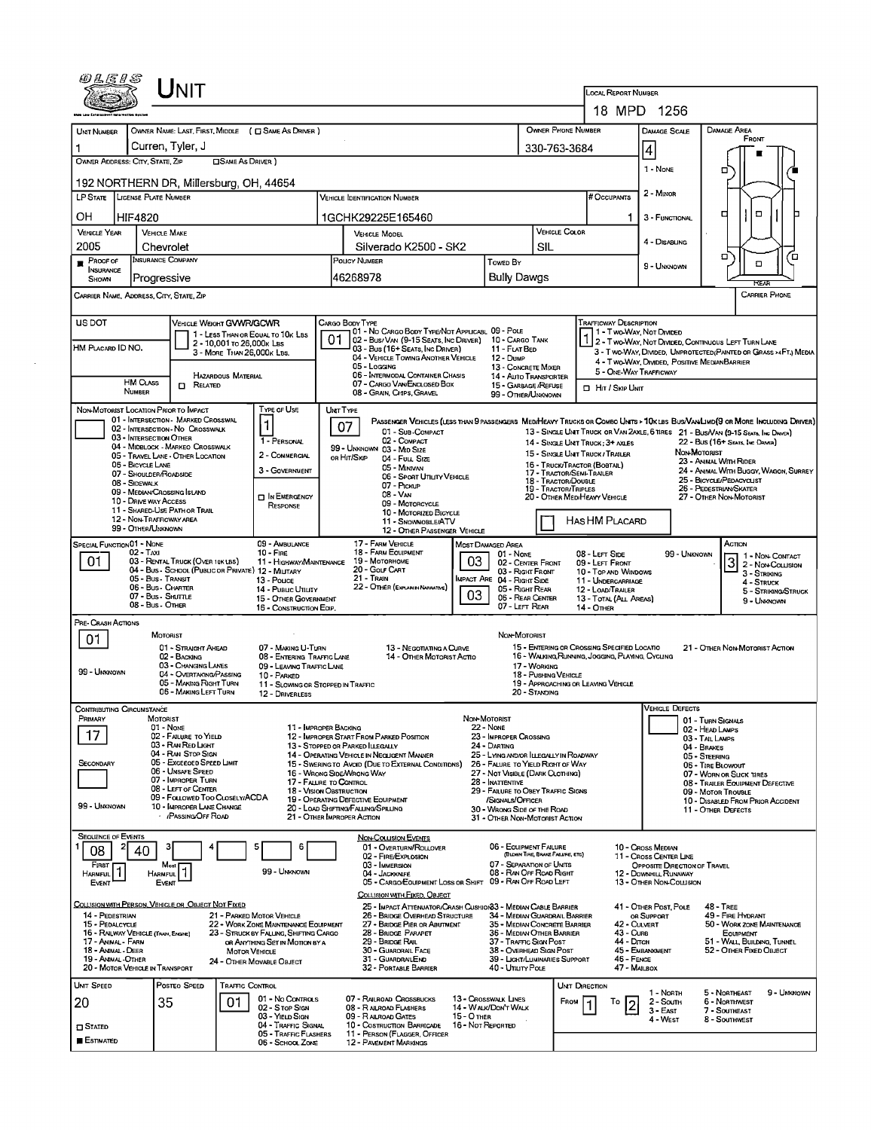|                                      | NIT                                                                          |                                                                          |                                                                                                |                                     |                                                               |                                                                                                | <b>LOCAL REPORT NUMBER</b>                        |                              |                                                                                                                             |  |  |
|--------------------------------------|------------------------------------------------------------------------------|--------------------------------------------------------------------------|------------------------------------------------------------------------------------------------|-------------------------------------|---------------------------------------------------------------|------------------------------------------------------------------------------------------------|---------------------------------------------------|------------------------------|-----------------------------------------------------------------------------------------------------------------------------|--|--|
|                                      |                                                                              |                                                                          |                                                                                                |                                     |                                                               |                                                                                                | 18 MPD 1256                                       |                              |                                                                                                                             |  |  |
|                                      |                                                                              | OWNER NAME: LAST, FIRST, MIDDLE ( C SAME AS DRIVER )                     |                                                                                                |                                     |                                                               | OWNER PHONE NUMBER                                                                             |                                                   | DAMAGE SCALE                 | DAMAGE AREA                                                                                                                 |  |  |
| <b>UNT NUMBER</b>                    | Curren, Tyler, J                                                             |                                                                          |                                                                                                |                                     |                                                               |                                                                                                |                                                   |                              | FRONT                                                                                                                       |  |  |
| OWNER ADDRESS: CITY, STATE, ZIP      |                                                                              | <b>OSAME AS DRIVER</b> )                                                 |                                                                                                |                                     | 330-763-3684                                                  |                                                                                                | 4                                                 |                              |                                                                                                                             |  |  |
|                                      |                                                                              |                                                                          |                                                                                                |                                     |                                                               |                                                                                                |                                                   | 1 - None                     | σ                                                                                                                           |  |  |
|                                      | 192 NORTHERN DR, Millersburg, OH, 44654                                      |                                                                          |                                                                                                |                                     |                                                               | # Occupants                                                                                    |                                                   | 2 - MINOR                    |                                                                                                                             |  |  |
|                                      | LP STATE LICENSE PLATE NUMBER                                                |                                                                          | <b>VEHICLE IDENTIFICATION NUMBER</b>                                                           |                                     |                                                               |                                                                                                |                                                   |                              |                                                                                                                             |  |  |
| OН                                   | HIF4820                                                                      |                                                                          | 1GCHK29225E165460                                                                              |                                     |                                                               |                                                                                                |                                                   | 3 - FUNCTIONAL               | $\Box$<br>а                                                                                                                 |  |  |
| <b>VEHICLE YEAR</b>                  | <b>VEHICLE MAKE</b>                                                          |                                                                          | <b>VEHICLE MODEL</b>                                                                           |                                     |                                                               | <b>VEHICLE COLOR</b>                                                                           |                                                   | 4 - DISABLING                |                                                                                                                             |  |  |
| 2005                                 | Chevrolet<br>Insurance Company                                               |                                                                          | Silverado K2500 - SK2<br>POLICY NUMBER                                                         |                                     | SIL                                                           |                                                                                                |                                                   |                              | σ                                                                                                                           |  |  |
| <b>PROOF OF</b><br><b>INSURANCE</b>  |                                                                              |                                                                          |                                                                                                | Towed By                            |                                                               |                                                                                                |                                                   | 9 - UNKNOWN                  | $\Box$                                                                                                                      |  |  |
| SHOWN                                | Progressive                                                                  |                                                                          | 46268978                                                                                       |                                     | <b>Bully Dawgs</b>                                            |                                                                                                |                                                   |                              | RFA                                                                                                                         |  |  |
|                                      | Carrier Name, Address, City, State, Zip                                      |                                                                          |                                                                                                |                                     |                                                               |                                                                                                |                                                   |                              | <b>CARRIER PHONE</b>                                                                                                        |  |  |
| <b>US DOT</b>                        |                                                                              | VEHICLE WEIGHT GVWR/GCWR                                                 | CARGO BODY TYPE                                                                                |                                     |                                                               |                                                                                                | <b>TRAFFICWAY DESCRIPTION</b>                     |                              |                                                                                                                             |  |  |
|                                      |                                                                              | 1 - LESS THAN OR EQUAL TO 10K LBS                                        | 01 - No CARGO BODY TYPE/NOT APPLICABL 09 - POLE<br>01<br>02 - Bus/Van (9-15 Seats, Inc Driver) |                                     | 10 - CARGO TANK                                               |                                                                                                | 1 - Two-Way, Not Divided                          |                              |                                                                                                                             |  |  |
| HM PLACARD ID NO.                    |                                                                              | 2 - 10,001 To 26,000 k Las<br>3 - MORE THAN 26,000K LBS.                 | 03 - Bus (16+ SEATS, INC DRIVER)<br>04 - VEHICLE TOWING ANOTHER VEHICLE                        |                                     | 11 - FLAT BED                                                 |                                                                                                |                                                   |                              | 1 2 - T WO-WAY, NOT DIVIDED, CONTINUOUS LEFT TURN LANE<br>3 - T WO-WAY, DIVIDED, UNPROTECTED (PAINTED OR GRASS >4FT.) MEDIA |  |  |
|                                      |                                                                              |                                                                          | 05 - Locang                                                                                    | 12 - DumP                           | 13 - CONCRETE MIXER                                           |                                                                                                | 5 - ONE-WAY TRAFFICWAY                            |                              | 4 - Two-Way, DIMDED, POSITIVE MEDIANBARRIER                                                                                 |  |  |
|                                      | <b>HM CLASS</b><br>$R$ ELATED                                                | <b>HAZARDOUS MATERIAL</b>                                                | 06 - INTERMODAL CONTAINER CHASIS<br>07 - CARGO VAN ENCLOSED BOX                                |                                     | 14 - Auto Transporter<br>15 - GARBAGE / REFUSE                | <b>D</b> HIT / SKIP UNIT                                                                       |                                                   |                              |                                                                                                                             |  |  |
|                                      | NUMBER                                                                       |                                                                          | 08 - GRAIN, CHIPS, GRAVEL                                                                      |                                     | 99 - OTHER/UNKNOWN                                            |                                                                                                |                                                   |                              |                                                                                                                             |  |  |
|                                      | NON-MOTORIST LOCATION PRIOR TO IMPACT<br>01 - INTERSECTION - MARKED CROSSWAL | Type of Use                                                              | UNIT TYPE                                                                                      |                                     |                                                               |                                                                                                |                                                   |                              | PASSENGER VEHICLES (LESS THAN 9 PASSENGERS MEDIHEAVY TRUCKS OR COMBO UNITS > 10KLBS BUS/VAWLIMD(9 OR MORE INCLUDING DRIVER) |  |  |
|                                      | 02 - INTERSECTION - NO CROSSWALK                                             | 1                                                                        | 07<br>01 - Sun-Compact                                                                         |                                     |                                                               |                                                                                                |                                                   |                              | 13 - SINGLE UNIT TRUCK OR VAN 2AXLE, 6 TIRES 21 - BUS/VAN (9-15 SEATS, INC DAVER)                                           |  |  |
|                                      | 03 - INTERSECTION OTHER<br>04 - MIDBLOCK - MARKEO CROSSWALK                  | 1 - PERSONAL                                                             | 02 - COMPACT<br>99 - UNKNOWN 03 - MID SIZE                                                     |                                     |                                                               | 14 - SINGLE UNIT TRUCK; 3+ AXLES                                                               |                                                   |                              | 22 - Bus (16+ Seats, Ive Driver)<br>NON-MOTORIST                                                                            |  |  |
|                                      | 05 - TRAVEL LANE - OTHER LOCATION<br>06 - BICYCLE LANE                       | 2 - COMMERCIAL                                                           | OR HIT/SKIP<br>04 - Full Size<br>05 - MINIVAN                                                  |                                     |                                                               | 15 - SINGLE UNIT TRUCK / TRAILER<br>16 - TRUCK/TRACTOR (BOBTAIL)                               |                                                   |                              | 23 - ANIMAL WITH RIDER                                                                                                      |  |  |
|                                      | 07 - SHOULDER/ROADSIDE<br>08 - SIDEWALK                                      | 3 - GOVERNMENT                                                           | 06 - Sport UTILITY VEHICLE                                                                     |                                     |                                                               | 17 - TRACTOR/SEMI-TRAILER<br>18 - Tractor/Double                                               |                                                   |                              | 24 - ANIMAL WITH BUGGY, WAGON, SURREY<br>25 - BICYCLE/PEDACYCLIST                                                           |  |  |
|                                      | 09 - MEDIAN CROSSING ISLAND                                                  | <b>DIN EMERGENCY</b>                                                     | 07 - PICKUP<br>08 - Van                                                                        |                                     |                                                               | <b>19 - TRACTOR/TRIPLES</b><br>20 - OTHER MEDIHEAVY VEHICLE                                    |                                                   |                              | 26 - PEDESTRIAN SKATER<br>27 - OTHER NON-MOTORIST                                                                           |  |  |
|                                      | 10 - DRIVE WAY ACCESS<br>11 - SHARED-USE PATH OR TRAIL                       | RESPONSE                                                                 | 09 - MOTORCYCLE<br>10 - MOTORIZED BICYCLE                                                      |                                     |                                                               |                                                                                                |                                                   |                              |                                                                                                                             |  |  |
|                                      | 12 - NON-TRAFFICWAY AREA<br>99 - OTHER/UNKNOWN                               |                                                                          | 11 - SNOWMOBILE/ATV<br>12 - OTHER PASSENGER VEHICLE                                            |                                     |                                                               | HAS HM PLACARD                                                                                 |                                                   |                              |                                                                                                                             |  |  |
| SPECIAL FUNCTION 01 - NONE           |                                                                              | 09 - AMBULANCE                                                           | 17 - FARM VEHICLE                                                                              | MOST DAMAGED AREA                   |                                                               |                                                                                                |                                                   |                              | Астюм                                                                                                                       |  |  |
| 01                                   | $02 - T_Ax1$<br>03 - RENTAL TRUCK (OVER 10K LBS)                             | $10 -$ Fire<br>11 - HIGHWAY/MAINTENANCE                                  | 18 - FARM EQUIPMENT<br>19 Мотовноме                                                            | 03                                  | $01 - None$<br>02 - CENTER FRONT                              | 08 - LEFT SIDE<br>09 - LEFT FRONT                                                              |                                                   | 99 - UNKNOWN                 | 1 - Non-Contact<br>3 2 - Non-Contact                                                                                        |  |  |
|                                      | 05 - Bus - Transit                                                           | 04 - Bus - SCHOOL (PUBLIC OR PRIVATE) 12 - MILITARY                      | 20 - Gour CART<br>21 - TRAIN                                                                   |                                     | 03 - Right Front                                              | 10 - Top and Windows                                                                           |                                                   |                              | 3 - STRIKING                                                                                                                |  |  |
|                                      | 06 - Bus - Charter                                                           | 13 - Pouce<br>14 - Pusuc Utiuty                                          | 22 - OTHER (EXPLANDINARRATIVE)                                                                 | <b>IMPACT ARE 04 - RIGHT SIDE</b>   | 05 - RIGHT REAR                                               | 11 - UNDERCARRIAGE<br>12 - LOAD/TRAILER                                                        |                                                   |                              | 4 - STRUCK<br>5 - STRIKING/STRUCK                                                                                           |  |  |
|                                      | 07 - Bus SHUTTLE<br>08 - Bus - Other                                         | 15 - OTHER GOVERNMENT<br>16 - CONSTRUCTION EOIP.                         |                                                                                                | 03                                  | 06 - REAR CENTER<br>07 - LEFT REAR                            | 14 - OTHER                                                                                     | 13 - TOTAL (ALL AREAS)                            |                              | 9 - UNKNOWN                                                                                                                 |  |  |
| PRE- CRASH ACTIONS                   |                                                                              |                                                                          |                                                                                                |                                     |                                                               |                                                                                                |                                                   |                              |                                                                                                                             |  |  |
| 01.                                  | MOTORIST                                                                     |                                                                          |                                                                                                |                                     | Non-Motorist                                                  |                                                                                                |                                                   |                              |                                                                                                                             |  |  |
|                                      | 01 - STRAIGHT AHEAD<br>02 - BACKING                                          | 07 - MAKING U-TURN<br>08 - ENTERING TRAFFIC LANE                         | 13 - NEGOTIATING A CURVE<br>14 - OTHER MOTORIST ACTIO                                          |                                     |                                                               | 15 - ENTERING OR CROSSING SPECIFIED LOCATIO<br>16 - WALKING RUNNING, JOGGING, PLAYING, CYCLING |                                                   |                              | 21 - OTHER NON-MOTORIST ACTION                                                                                              |  |  |
| 99 - Unknown                         | 03 - CHANGING LANES<br>04 - OVERTAKING/PASSING                               | 09 - LEAVING TRAFFIC LANE<br>10 - PARKED                                 |                                                                                                |                                     | 17 - WORKING<br>18 - Pushing Vehicle                          |                                                                                                |                                                   |                              |                                                                                                                             |  |  |
|                                      | 05 - MAKING RIGHT TURN<br>06 - MAKING LEFT TURN                              |                                                                          | 11 - SLOWING OR STOPPED IN TRAFFIC                                                             |                                     | 20 - STANDING                                                 | 19 - APPROACHING OR LEAVING VEHICLE                                                            |                                                   |                              |                                                                                                                             |  |  |
|                                      |                                                                              | 12 - DRIVERLESS                                                          |                                                                                                |                                     |                                                               |                                                                                                |                                                   |                              |                                                                                                                             |  |  |
| Contributing Circumstance<br>PRIMARY | MOTORIST                                                                     |                                                                          |                                                                                                | Non-Motorist                        |                                                               |                                                                                                |                                                   | Vehicle Defects              | 01 - TURN SIGNALS                                                                                                           |  |  |
| 17                                   | 01 - None<br>02 - FALURE TO YIELD                                            |                                                                          | 11 - IMPROPER BACKING<br>12 - IMPROPER START FROM PARKED POSITION                              | 22 - None                           | 23 - IMPROPER CROSSING                                        |                                                                                                |                                                   |                              | 02 - HEAD LAMPS<br>03 - TAIL LAMPS                                                                                          |  |  |
|                                      | 03 - RAN RED LIGHT<br>04 - RAN STOP SIGN                                     |                                                                          | 13 - Stopped or Parked LLEGALLY<br>14 - OPERATING VEHICLE IN NEGLIGENT MANNER                  | 24 - DARTING                        | 25 - LYING AND/OR LLEGALLY IN ROADWAY                         |                                                                                                |                                                   |                              | 04 - BRAKES                                                                                                                 |  |  |
| SECONDARY                            | 05 - Excesoed Speed Limit<br>06 - UNSAFE SPEED                               |                                                                          | 15 - SWERING TO AVOID (DUE TO EXTERNAL CONDITIONS)                                             |                                     | 26 - FALURE TO YIELD RIGHT OF WAY                             |                                                                                                |                                                   |                              | 05 - STEERING<br>06 - TIRE BLOWOUT                                                                                          |  |  |
|                                      | 07 - IMPROPER TURN                                                           |                                                                          | 16 - WRONG SIDE/WRONG WAY<br>17 - FALURE TO CONTROL                                            | 28 - INATTENTIVE                    | 27 - NOT VISIBLE (DARK CLOTHING)                              |                                                                                                |                                                   |                              | 07 - WORN OR SLICK TIRES<br>08 - TRAILER EQUIPMENT DEFECTIVE                                                                |  |  |
|                                      | 08 - LEFT OF CENTER<br>09 - FOLLOWED TOO CLOSELY/ACDA                        |                                                                          | <b>18 - Vision OBSTRUCTION</b><br>19 - OPERATING DEFECTIVE EQUIPMENT                           |                                     | 29 - FAILURE TO OBEY TRAFFIC SIGNS<br>/SIGNALS/OFFICER        |                                                                                                |                                                   |                              | 09 - MOTOR TROUBLE<br>10 - DISABLED FROM PRIOR ACCIDENT                                                                     |  |  |
| 99 - UNKNOWN                         | 10 - IMPROPER LANE CHANGE<br><b>/PASSING/OFF ROAD</b>                        |                                                                          | 20 - LOAD SHIFTING/FALLING/SPILLING<br>21 - OTHER IMPROPER ACTION                              |                                     | 30 - WRONG SIDE OF THE ROAD<br>31 - OTHER NON-MOTORIST ACTION |                                                                                                |                                                   |                              | 11 - OTHER DEFECTS                                                                                                          |  |  |
|                                      |                                                                              |                                                                          |                                                                                                |                                     |                                                               |                                                                                                |                                                   |                              |                                                                                                                             |  |  |
| <b>SEQUENCE OF EVENTS</b>            |                                                                              | 6                                                                        | NON-COLLISION EVENTS<br>01 - OVERTURN/ROLLOVER                                                 |                                     | 06 - EQUIPMENT FAILURE                                        |                                                                                                | 10 - Cross Median                                 |                              |                                                                                                                             |  |  |
| 08<br>FIRST                          | 40<br>Most                                                                   |                                                                          | 02 - FIRE/EXPLOSION<br>03 - IMMERSION                                                          |                                     | (BLOWN TIRE, BRAKE FAILURE, ETC)<br>07 - SEPARATION OF UNITS  |                                                                                                | 11 - Cross CENTER LINE                            | OPPOSITE DIRECTION OF TRAVEL |                                                                                                                             |  |  |
| $\vert$ 1<br>HARMFUL                 | HARMFUL <sup>1</sup>                                                         | 99 - UNKNOWN                                                             | 04 - JACKKNIFE<br>05 - CARGO/EQUIPMENT LOSS OR SHIFT 09 - RAN OFF ROAD LEFT                    |                                     | 08 - RAN OFF ROAD RIGHT                                       |                                                                                                | 12 - DOWNHILL RUNAWAY<br>13 - OTHER NON-COLLISION |                              |                                                                                                                             |  |  |
| EVENT                                | <b>EVENT</b>                                                                 |                                                                          | COLLISION WITH FIXED, OBJECT                                                                   |                                     |                                                               |                                                                                                |                                                   |                              |                                                                                                                             |  |  |
|                                      | COLLISION WITH PERSON, VEHICLE OR OBJECT NOT FIXED                           |                                                                          | 25 - IMPACT ATTENUATOR/CRASH CUSHION 3 - MEDIAN CABLE BARRIER                                  |                                     |                                                               |                                                                                                | 41 - OTHER POST, POLE                             |                              | $48 - TREF$                                                                                                                 |  |  |
| 14 - PEDESTRIAN<br>15 - PEDALCYCLE   |                                                                              | 21 - PARKED MOTOR VEHICLE<br>22 - WORK ZONE MAINTENANCE EQUIPMENT        | 26 - BRIDGE OVERHEAD STRUCTURE<br>27 - BRIDGE PIER OR ABUTMENT                                 |                                     | 34 - MEDIAN GUARDRAIL BARRIER<br>35 - MEDIAN CONCRETE BARRIER |                                                                                                | OR SUPPORT<br>42 - CULVERT                        |                              | 49 - FIRE HYDRANT<br>50 - WORK ZONE MAINTENANCE                                                                             |  |  |
| 17 - Animal - Farm                   | 16 - RAILWAY VEHICLE (TRAIN, ENGINE)                                         | 23 - STRUCK BY FALLING, SHIFTING CARGO<br>OR ANYTHING SET IN MOTION BY A | 28 - BRIDGE PARAPET<br>29 - BRIDGE RAIL                                                        |                                     | 36 - MEDIAN OTHER BARRIER<br>37 - TRAFFIC SIGN POST           |                                                                                                | 43 - Curs<br>44 - Олсн                            |                              | <b>EQUIPMENT</b><br>51 - WALL BUILDING, TUNNEL                                                                              |  |  |
| 18 - Animal - Deer                   |                                                                              | <b>MOTOR VEHICLE</b>                                                     | 30 - GUARORAIL FACE                                                                            |                                     | 38 - Overhead Sign Post                                       |                                                                                                | 45 - EMBANKMENT                                   |                              | 52 - OTHER FIXED OBJECT                                                                                                     |  |  |
| 19 - ANIMAL OTHER                    | 20 - MOTOR VEHICLE IN TRANSPORT                                              | 24 - OTHER MOVABLE OBJECT                                                | 31 - GUARDRAILEND<br>32 - PORTABLE BARRIER                                                     |                                     | 39 - LIGHT/LUMINARIES SUPPORT<br>40 - UTILITY POLE            |                                                                                                | 46 - FENCE<br>47 - MAILBOX                        |                              |                                                                                                                             |  |  |
|                                      |                                                                              |                                                                          |                                                                                                |                                     |                                                               | UNIT DIRECTION                                                                                 |                                                   |                              |                                                                                                                             |  |  |
| UNIT SPEED                           | POSTED SPEED                                                                 | <b>TRAFFIC CONTROL</b>                                                   |                                                                                                |                                     |                                                               |                                                                                                |                                                   |                              |                                                                                                                             |  |  |
| 20                                   | 35                                                                           | 01 - No CONTROLS<br>01                                                   | 07 - RAILROAD CROSSBUCKS                                                                       | 13 - Crosswalk LINES                |                                                               | FROM                                                                                           | То                                                | 1 - North<br>2 - South       | 5 - NORTHEAST<br>9 - UNKNOWN<br>6 - Northwest                                                                               |  |  |
|                                      |                                                                              | 02 - S TOP SIGN<br>03 - YIELD SIGN                                       | 08 - RAILROAD FLASHERS<br>09 - RAILROAD GATES                                                  | 14 - WALK/DON'T WALK<br>15 - O THER |                                                               |                                                                                                | l2                                                | 3 - East<br>4 - WEST         | 7 - SOUTHEAST<br>8 - Southwest                                                                                              |  |  |
| <b>O</b> STATED<br><b>ESTIMATED</b>  |                                                                              | 04 - Traffic Signal<br>05 - TRAFFIC FLASHERS<br>06 - School Zone         | 10 - Costruction Barricade<br>11 - PERSON (FLAGGER, OFFICER<br>12 - PAVEMENT MARKINGS          | 16 - Not Reported                   |                                                               |                                                                                                |                                                   |                              |                                                                                                                             |  |  |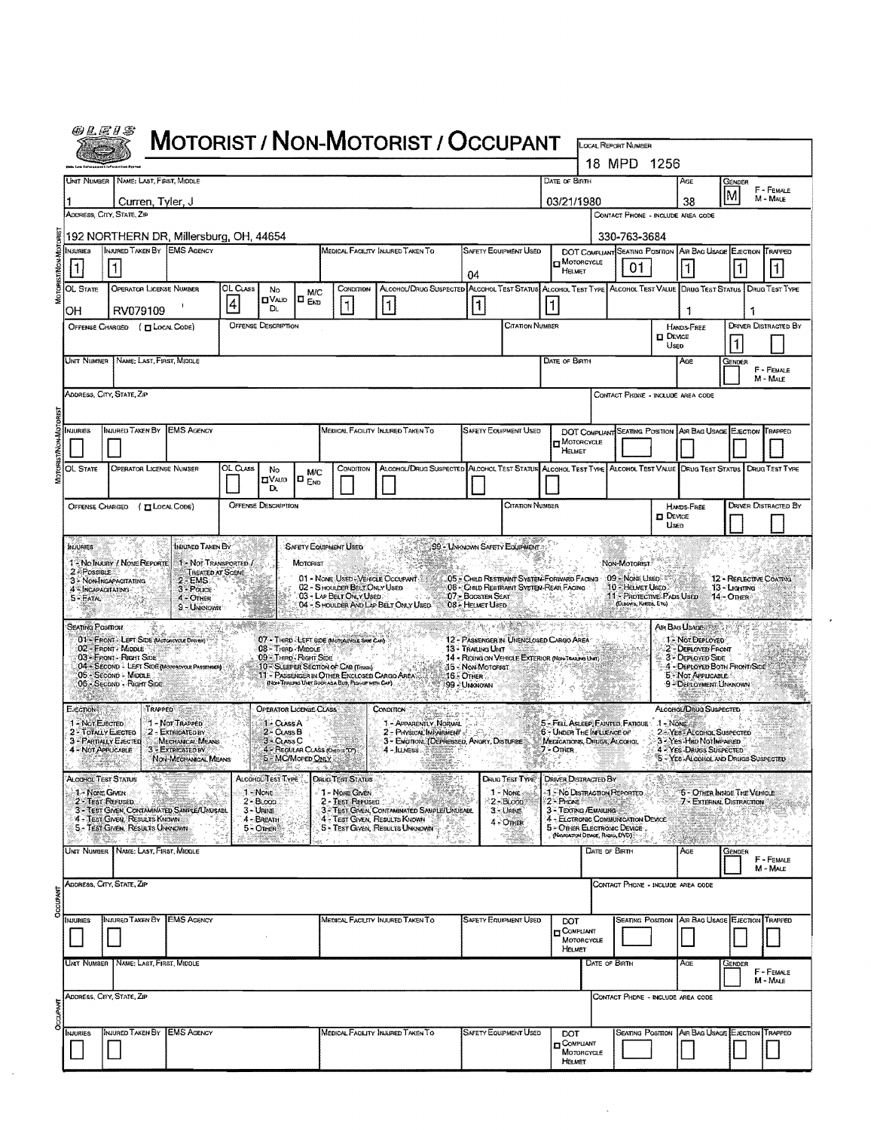| <i>@LEIS</i>                                                                                                                                                                                                                                                                                                                                                                                    |                                                                  |                                                                      |                 |                                                                  |                               |                                                      |                                                                                                                 |                                         |                                 |  |                                                                                                      |                                                   |               |                                                                                           |                                                           |                             |
|-------------------------------------------------------------------------------------------------------------------------------------------------------------------------------------------------------------------------------------------------------------------------------------------------------------------------------------------------------------------------------------------------|------------------------------------------------------------------|----------------------------------------------------------------------|-----------------|------------------------------------------------------------------|-------------------------------|------------------------------------------------------|-----------------------------------------------------------------------------------------------------------------|-----------------------------------------|---------------------------------|--|------------------------------------------------------------------------------------------------------|---------------------------------------------------|---------------|-------------------------------------------------------------------------------------------|-----------------------------------------------------------|-----------------------------|
|                                                                                                                                                                                                                                                                                                                                                                                                 | <b>MOTORIST / NON-MOTORIST / OCCUPANT</b>                        |                                                                      |                 |                                                                  |                               |                                                      |                                                                                                                 |                                         |                                 |  | LOCAL REPORT NUMBER<br>18 MPD 1256                                                                   |                                                   |               |                                                                                           |                                                           |                             |
|                                                                                                                                                                                                                                                                                                                                                                                                 | Unit Number   Name: Last, First, Middle                          |                                                                      |                 |                                                                  |                               |                                                      |                                                                                                                 |                                         |                                 |  | DATE OF BIRTH                                                                                        |                                                   |               | Age                                                                                       | GENDER                                                    | F - FEMALE                  |
|                                                                                                                                                                                                                                                                                                                                                                                                 | Curren, Tyler, J<br>ADDRESS, CITY, STATE, ZIP                    |                                                                      |                 |                                                                  |                               |                                                      |                                                                                                                 |                                         |                                 |  | 03/21/1980                                                                                           | CONTACT PHONE - INCLUDE AREA CODE                 |               | 38                                                                                        | lм                                                        | M - MALE                    |
| 192 NORTHERN DR, Millersburg, OH, 44654<br>330-763-3684                                                                                                                                                                                                                                                                                                                                         |                                                                  |                                                                      |                 |                                                                  |                               |                                                      |                                                                                                                 |                                         |                                 |  |                                                                                                      |                                                   |               |                                                                                           |                                                           |                             |
| NJURIES                                                                                                                                                                                                                                                                                                                                                                                         | INJURED TAKEN BY EMS AGENCY                                      |                                                                      |                 |                                                                  |                               |                                                      | MEDICAL FACILITY INJURED TAKEN TO                                                                               |                                         | <b>SAFETY EQUIPMENT USED</b>    |  | DOT COMPLIANT SEATING POSITION AIR BAG USAGE EJECTION TRAPPED<br>$\blacksquare$ MOTORCYCLE           |                                                   |               |                                                                                           |                                                           |                             |
| 1<br>OL STATE                                                                                                                                                                                                                                                                                                                                                                                   | OPERATOR LICENSE NUMBER                                          |                                                                      | OL Cuss         | No                                                               | <b>M/C</b>                    | CONDITION                                            | ALCOHOL/DRUG SUSPECTED ALCOHOL TEST STATUS ALCOHOL TEST TYPE ALCOHOL TEST VALUE DRUG TEST STATUS DRUG TEST TYPE | 04                                      |                                 |  | HELMET                                                                                               | 01                                                |               |                                                                                           |                                                           |                             |
| OН                                                                                                                                                                                                                                                                                                                                                                                              | RV079109                                                         |                                                                      | $\vert 4 \vert$ | <b>CIVALID</b><br>DŁ.                                            | lo <sub>Esp</sub>             |                                                      | 11                                                                                                              | 1                                       |                                 |  |                                                                                                      |                                                   |               |                                                                                           |                                                           |                             |
|                                                                                                                                                                                                                                                                                                                                                                                                 | OFFENSE CHARGED ( [ LOCAL CODE)                                  |                                                                      |                 | <b>OFFENSE DESCRIPTION</b>                                       |                               |                                                      |                                                                                                                 |                                         | <b>CITATION NUMBER</b>          |  |                                                                                                      |                                                   | <b>DEVICE</b> | HANDS-FREE                                                                                |                                                           | <b>DRIVER DISTRACTED BY</b> |
| UNIT NUMBER   NAME: LAST, FIRST, MIDDLE<br>DATE OF BIRTH                                                                                                                                                                                                                                                                                                                                        |                                                                  |                                                                      |                 |                                                                  |                               |                                                      |                                                                                                                 |                                         |                                 |  |                                                                                                      |                                                   | Useo          | AGE                                                                                       | GENDER                                                    |                             |
|                                                                                                                                                                                                                                                                                                                                                                                                 |                                                                  |                                                                      |                 |                                                                  |                               |                                                      |                                                                                                                 |                                         |                                 |  |                                                                                                      |                                                   |               | F - FEMALE<br>M - MALE                                                                    |                                                           |                             |
| ADDRESS, CITY, STATE, ZIP<br>CONTACT PHONE - INCLUDE AREA CODE                                                                                                                                                                                                                                                                                                                                  |                                                                  |                                                                      |                 |                                                                  |                               |                                                      |                                                                                                                 |                                         |                                 |  |                                                                                                      |                                                   |               |                                                                                           |                                                           |                             |
| INJURIES                                                                                                                                                                                                                                                                                                                                                                                        | INJURED TAKEN BY EMS AGENCY                                      |                                                                      |                 |                                                                  |                               |                                                      | MEDICAL FACILITY INJURED TAKEN TO                                                                               |                                         | <b>SAFETY EQUIPMENT USED</b>    |  | DOT COMPLIANT SEATING POSITION AVA BAG USAGE ELECTION TRAPPED                                        |                                                   |               |                                                                                           |                                                           |                             |
|                                                                                                                                                                                                                                                                                                                                                                                                 |                                                                  |                                                                      |                 |                                                                  |                               |                                                      |                                                                                                                 |                                         |                                 |  | MOTORCYCLE<br>HELMET                                                                                 |                                                   |               |                                                                                           |                                                           |                             |
| <b>OL STATE</b>                                                                                                                                                                                                                                                                                                                                                                                 | <b>OPERATOR LICENSE NUMBER</b>                                   |                                                                      | OL Cuss         | No<br>$\Box$ Vald<br>D.                                          | <b>M/C</b><br>$\Box$ $_{END}$ | CONDITION                                            | ALCOHOL/DRUG SUSPECTED ALCOHOL TEST STATUS ALCOHOL TEST TYPE ALCOHOL TEST VALUE DRUG TEST STATUS DRUG TEST TYPE |                                         |                                 |  |                                                                                                      |                                                   |               |                                                                                           |                                                           |                             |
| <b>OFFENSE DESCRIPTION</b><br>CITATION NUMBER<br><b>DRIVER DISTRACTED BY</b><br>OFFENSE CHARGED ( <b>IT LOCAL CODE</b> )<br>HANDS-FREE                                                                                                                                                                                                                                                          |                                                                  |                                                                      |                 |                                                                  |                               |                                                      |                                                                                                                 |                                         |                                 |  |                                                                                                      |                                                   |               |                                                                                           |                                                           |                             |
| <b>DEVICE</b><br>Useo                                                                                                                                                                                                                                                                                                                                                                           |                                                                  |                                                                      |                 |                                                                  |                               |                                                      |                                                                                                                 |                                         |                                 |  |                                                                                                      |                                                   |               |                                                                                           |                                                           |                             |
| Inuured Taken By<br><b>SAFETY EQUIPMENT USED</b><br>99 - LINKNOWN SAFETY EQUIPMENT<br><b>INJURIES</b><br>1 - No INJURY / NOME REPORTE<br>1 - NOT TRANSPORTED /<br>MOTORIST<br>NON-MOTORIST                                                                                                                                                                                                      |                                                                  |                                                                      |                 |                                                                  |                               |                                                      |                                                                                                                 |                                         |                                 |  |                                                                                                      |                                                   |               |                                                                                           |                                                           |                             |
| 2 - POSSIBLE<br>4 - INCAPACITATING                                                                                                                                                                                                                                                                                                                                                              | 3 - NON-INGAPACITATING                                           | TREATED AT SCENE<br>$2 - EMS$<br>3 - Pouce                           |                 |                                                                  |                               | 02 - SHOULDER BELT ONLY USED                         | 01 - NONE USED-VEHICLE OCCUPANT                                                                                 | 06 - Child Restraint System Rear Facing |                                 |  | 05 - CHILD RESTRAINT SYSTEM-FORWARD FACING                                                           | 109 - Nove Useo<br>10 - HELMET USED               |               |                                                                                           | <b>12 - REFLECTIVE COATING</b><br>13 - Ligenwa            |                             |
| $5 - FATAL$                                                                                                                                                                                                                                                                                                                                                                                     |                                                                  | $4 - \text{OMER}$<br>9 - Unignown                                    |                 |                                                                  |                               | 03 - LAP BELT ONLY USED                              | 04 - S HOULDER AND LAP BELT ONLY USED                                                                           | 07 - BOOSTER SEAT<br>08 - HELMET USED   |                                 |  |                                                                                                      | 11 - PROTECTIVE PADS USED<br>(ELBOWS, KNEEK, ETC) |               |                                                                                           | 14 - Опієв                                                |                             |
| SEATING POSITION                                                                                                                                                                                                                                                                                                                                                                                | 01 - FRONT - LEFT SIDE (MOTORCYCLE DRIVER)                       |                                                                      |                 |                                                                  |                               |                                                      |                                                                                                                 | 12 - PASSENGER IN UNENCLOSED CARGO AREA |                                 |  |                                                                                                      |                                                   |               | AIR BAG USAGE<br>1 - Not Deployed                                                         |                                                           |                             |
|                                                                                                                                                                                                                                                                                                                                                                                                 | 02 - FRONT - MIDDLE<br>03 - Front - Right Sing                   |                                                                      |                 | 08 - THIRD - MIDDLE<br>09 - Thirp - Right Side                   |                               | 07 - THIRD - LEFT SIDE (MOTORCYCLE SIDE CAR) -       |                                                                                                                 | 13 - TRAILING UNIT                      |                                 |  | 14 - RIDING ON VEHICLE EXTERIOR (NON-TRAILERS UNIT)                                                  |                                                   |               | 2 - DEPLOYED FRONT<br>3 - DEPLOYED SIDE                                                   |                                                           |                             |
| 04 - SECOND - LEFT SIDE (MOTORCYCLE PASSENGER)<br>4 - DEPLOYED BOTH FRONT/SIDE<br>10 - SLEEPER SECTION OF CAB (TRUDO)<br>15 - Non Motorist<br>05 - Secono - Mioble<br>11 - PASSENGER IN OTHER ENCLOSED CARGO AREA<br>5 - NOT APPLICABLE<br>$16 -$ OTHER<br>(NON-TRAILING UNIT SUCH AS A BUS, PECK-UP WITH CAP)<br>06 - SECOND - RIGHT SIDE<br>9 <sup>3</sup> Deployment Unknown<br>99 - UNKNOWN |                                                                  |                                                                      |                 |                                                                  |                               |                                                      |                                                                                                                 |                                         |                                 |  |                                                                                                      |                                                   |               |                                                                                           |                                                           |                             |
| EJECTION COMPLETE                                                                                                                                                                                                                                                                                                                                                                               | TRAPPED                                                          |                                                                      |                 | <b>OPERATOR LICENSE CLASS</b>                                    |                               |                                                      | <b>CONDITION</b>                                                                                                |                                         |                                 |  |                                                                                                      |                                                   |               | ALCOHOL/DRUG SUSPECTED                                                                    |                                                           |                             |
| 1 - Not EJECTED<br>2 - TOTALLY EJECTED                                                                                                                                                                                                                                                                                                                                                          |                                                                  | 1 - Not Trapped<br>2 - Extricated by                                 |                 | 1 + CLASS A<br>2 - CLASS B                                       |                               |                                                      | 1 - APPARENTLY NORMAL<br>2 - PHYSICAL IMPAIRMENT                                                                | : 38                                    |                                 |  | 5 - FELL ASLEEP, FAINTED, FATIGUE : . 1 - NONE<br>6 - Unicen THE INFLUENCE OF                        |                                                   |               | 2 - YES - ALCOHOL SUSPECTED                                                               |                                                           |                             |
| 3 - PARTIALLY EJECTED<br>4 - NOT APPUCABLE                                                                                                                                                                                                                                                                                                                                                      |                                                                  | <b>MECHANICAL MEANS</b><br>3 - EXTRICATED BY<br>NON-MECHANICAL MEANS |                 | 3 - CLASS C<br>4 - REGULAR CLASS (ORDISTOT)<br>5 = MC/Moped Only |                               |                                                      | 3 - EMOTION: (DEPRESSED, ANGRY, DISTURBE<br>4 - luvess - The                                                    |                                         |                                 |  | MEDICATIONS, DRUGS, ALCOHOL<br>7 - Other                                                             |                                                   |               | 3 - Yes Han Notlan Amen<br>4 - Yes-Drugs Suspected<br>5 - YES ALCOHOL AND DRUGS SUSPECTED |                                                           |                             |
| <b>SERVER SERVICE</b><br><b>ALCOHOL TEST STATUS</b>                                                                                                                                                                                                                                                                                                                                             |                                                                  |                                                                      |                 | ಇ ಸಂಪರ್ಕಾದ ವ<br>ALCOHOL:TEST TYPE                                |                               | ing ito di Kabupatèn Kabu<br><b>DRUG TEST STATUS</b> |                                                                                                                 |                                         | DRUG TEST TYPE                  |  | estre te provincia<br><b>DRIVER DISTRACTED BY</b>                                                    |                                                   |               |                                                                                           |                                                           |                             |
| 1 - NONE GIVEN<br>2 - Test Refused                                                                                                                                                                                                                                                                                                                                                              | 3 - TEST GIVEN, CONTAMINATED SAMPLE/UNUSABL                      |                                                                      |                 | 1 - Nove<br>$2 - B$ Loop<br>$3 -$ Urine                          |                               | 1 - NONE GIVEN<br>2 - Test Rerused                   | 3 - TEST GIVEN, CONTAMINATED SAMPLE/UNUSABL                                                                     |                                         | 1 - NONE<br>2-BLood<br>3. Unive |  | <b>1. No Distraction Reported</b><br>2 - PHONE<br>3 - TEXTING / EMAILING                             |                                                   |               |                                                                                           | 6 - Office Inside The Vehicle<br>7 - EXTERNAL DISTRACTION |                             |
|                                                                                                                                                                                                                                                                                                                                                                                                 | 4 - TEST GIVEN, RESULTS KNOWN<br>5 - TEST GIVEN, RESULTS UNKNOWN |                                                                      |                 | 4 - BREATH<br>5-Omen                                             |                               |                                                      | 4 - Test Given, Results Known<br>5 - Test Given, Results Unknown                                                |                                         | 4 - OTHER                       |  | 4 - ELCTRONIC COMMUNICATION DEVICE<br>5 - OTHER ELECTRONIC DEVICE<br>(NAVIGATION DEVICE, RADIO, DVD) |                                                   |               |                                                                                           |                                                           |                             |
|                                                                                                                                                                                                                                                                                                                                                                                                 | UNIT NUMBER NAME: LAST, FIRST, MIDDLE                            |                                                                      |                 |                                                                  |                               |                                                      |                                                                                                                 |                                         |                                 |  |                                                                                                      | DATE OF BIRTH                                     |               | Age                                                                                       | Gender                                                    | F - FEMALE                  |
|                                                                                                                                                                                                                                                                                                                                                                                                 | ADDRESS, CITY, STATE, ZIP                                        |                                                                      |                 |                                                                  |                               |                                                      |                                                                                                                 |                                         |                                 |  |                                                                                                      | CONTACT PHONE - INCLUDE AREA CODE                 |               |                                                                                           |                                                           | M - MALE                    |
|                                                                                                                                                                                                                                                                                                                                                                                                 |                                                                  |                                                                      |                 |                                                                  |                               |                                                      |                                                                                                                 |                                         |                                 |  |                                                                                                      |                                                   |               |                                                                                           |                                                           |                             |
| <b>NJURIES</b>                                                                                                                                                                                                                                                                                                                                                                                  | INJURED TAKEN BY EMS AGENCY                                      |                                                                      |                 |                                                                  |                               |                                                      | MEDICAL FACILITY INJURED TAKEN TO                                                                               |                                         | <b>SAFETY EQUIPMENT USED</b>    |  | DOT<br>COMPLIANT                                                                                     |                                                   |               | SEATING POSITION AR BAG USAGE EJECTION TRAPPED                                            |                                                           |                             |
| <b>UNT NUMBER</b>                                                                                                                                                                                                                                                                                                                                                                               | NAME: LAST, FIRST, MIDDLE                                        |                                                                      |                 |                                                                  |                               |                                                      |                                                                                                                 |                                         |                                 |  | MOTORCYCLE<br>HELMET                                                                                 | DATE OF BIRTH                                     |               |                                                                                           |                                                           |                             |
|                                                                                                                                                                                                                                                                                                                                                                                                 |                                                                  |                                                                      |                 |                                                                  |                               |                                                      |                                                                                                                 |                                         |                                 |  |                                                                                                      |                                                   |               | AGE                                                                                       | Gender                                                    | F - FEMALE<br>M - MALE      |
|                                                                                                                                                                                                                                                                                                                                                                                                 | ADDRESS, CITY, STATE, ZIP                                        |                                                                      |                 |                                                                  |                               |                                                      |                                                                                                                 |                                         |                                 |  |                                                                                                      | CONTACT PHONE - INCLUDE AREA CODE                 |               |                                                                                           |                                                           |                             |
| INJURIES                                                                                                                                                                                                                                                                                                                                                                                        | INJURED TAKEN BY                                                 | <b>EMS AGENCY</b>                                                    |                 |                                                                  |                               |                                                      | MEDICAL FACILITY INJURED TAKEN TO                                                                               |                                         | <b>SAFETY EQUIPMENT USED</b>    |  | DOT                                                                                                  |                                                   |               | SEATING POSITION AIR BAG USAGE EJECTION TRAPPED                                           |                                                           |                             |
|                                                                                                                                                                                                                                                                                                                                                                                                 |                                                                  |                                                                      |                 |                                                                  |                               |                                                      |                                                                                                                 |                                         |                                 |  | COMPLIANT<br>MOTORCYCLE<br>HELMET                                                                    |                                                   |               |                                                                                           |                                                           |                             |
|                                                                                                                                                                                                                                                                                                                                                                                                 |                                                                  |                                                                      |                 |                                                                  |                               |                                                      |                                                                                                                 |                                         |                                 |  |                                                                                                      |                                                   |               |                                                                                           |                                                           |                             |